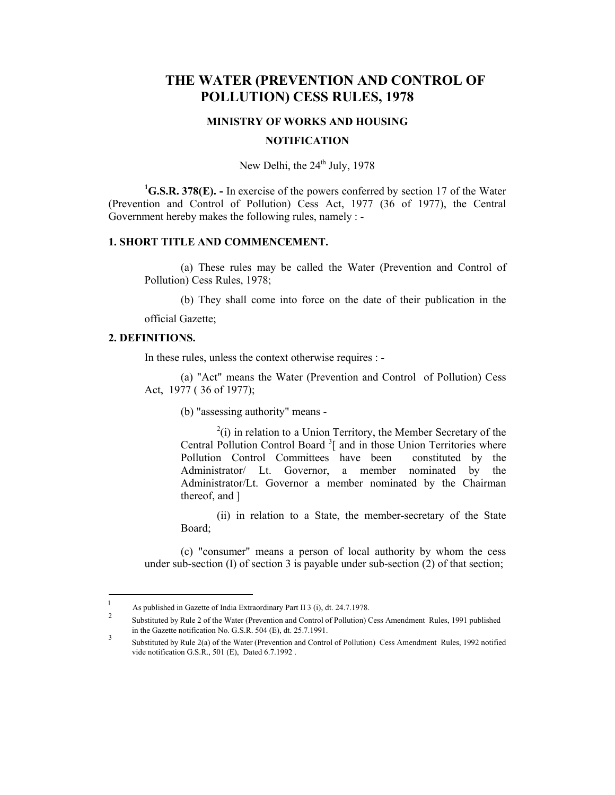# **THE WATER (PREVENTION AND CONTROL OF POLLUTION) CESS RULES, 1978**

### **MINISTRY OF WORKS AND HOUSING**

#### **NOTIFICATION**

New Delhi, the  $24<sup>th</sup>$  July, 1978

<sup>1</sup>G.S.R. 378(E). - In exercise of the powers conferred by section 17 of the Water (Prevention and Control of Pollution) Cess Act, 1977 (36 of 1977), the Central Government hereby makes the following rules, namely : -

### **1. SHORT TITLE AND COMMENCEMENT.**

(a) These rules may be called the Water (Prevention and Control of Pollution) Cess Rules, 1978;

(b) They shall come into force on the date of their publication in the official Gazette;

#### **2. DEFINITIONS.**

In these rules, unless the context otherwise requires : -

(a) "Act" means the Water (Prevention and Control of Pollution) Cess Act, 1977 ( 36 of 1977);

(b) "assessing authority" means -

 $2(i)$  in relation to a Union Territory, the Member Secretary of the Central Pollution Control Board<sup>3</sup> and in those Union Territories where Pollution Control Committees have been constituted by the Administrator/ Lt. Governor, a member nominated by the Administrator/Lt. Governor a member nominated by the Chairman thereof, and ]

(ii) in relation to a State, the member-secretary of the State Board;

(c) "consumer" means a person of local authority by whom the cess under sub-section (I) of section 3 is payable under sub-section (2) of that section;

 $\mathbf{1}$ <sup>1</sup> As published in Gazette of India Extraordinary Part II 3 (i), dt. 24.7.1978.

<sup>2</sup> Substituted by Rule 2 of the Water (Prevention and Control of Pollution) Cess Amendment Rules, 1991 published in the Gazette notification No. G.S.R. 504 (E), dt. 25.7.1991.

<sup>3&</sup>lt;br>Substituted by Rule 2(a) of the Water (Prevention and Control of Pollution) Cess Amendment Rules, 1992 notified vide notification G.S.R., 501 (E), Dated 6.7.1992 .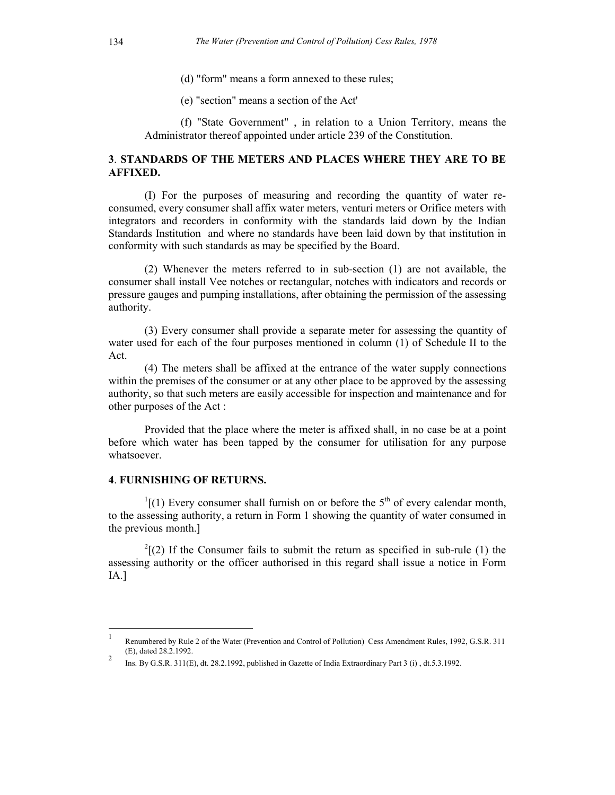- (d) "form" means a form annexed to these rules;
- (e) "section" means a section of the Act'

(f) "State Government" , in relation to a Union Territory, means the Administrator thereof appointed under article 239 of the Constitution.

### **3**. **STANDARDS OF THE METERS AND PLACES WHERE THEY ARE TO BE AFFIXED.**

(I) For the purposes of measuring and recording the quantity of water reconsumed, every consumer shall affix water meters, venturi meters or Orifice meters with integrators and recorders in conformity with the standards laid down by the Indian Standards Institution and where no standards have been laid down by that institution in conformity with such standards as may be specified by the Board.

(2) Whenever the meters referred to in sub-section (1) are not available, the consumer shall install Vee notches or rectangular, notches with indicators and records or pressure gauges and pumping installations, after obtaining the permission of the assessing authority.

(3) Every consumer shall provide a separate meter for assessing the quantity of water used for each of the four purposes mentioned in column (1) of Schedule II to the Act.

(4) The meters shall be affixed at the entrance of the water supply connections within the premises of the consumer or at any other place to be approved by the assessing authority, so that such meters are easily accessible for inspection and maintenance and for other purposes of the Act :

Provided that the place where the meter is affixed shall, in no case be at a point before which water has been tapped by the consumer for utilisation for any purpose whatsoever.

### **4**. **FURNISHING OF RETURNS.**

 $\overline{a}$ 

 $1/(1)$  Every consumer shall furnish on or before the 5<sup>th</sup> of every calendar month, to the assessing authority, a return in Form 1 showing the quantity of water consumed in the previous month.]

 $^{2}$ [(2) If the Consumer fails to submit the return as specified in sub-rule (1) the assessing authority or the officer authorised in this regard shall issue a notice in Form IA.]

<sup>1</sup> Renumbered by Rule 2 of the Water (Prevention and Control of Pollution) Cess Amendment Rules, 1992, G.S.R. 311 (E), dated 28.2.1992.

<sup>&</sup>lt;sup>2</sup> Ins. By G.S.R. 311(E), dt. 28.2.1992, published in Gazette of India Extraordinary Part 3 (i), dt.5.3.1992.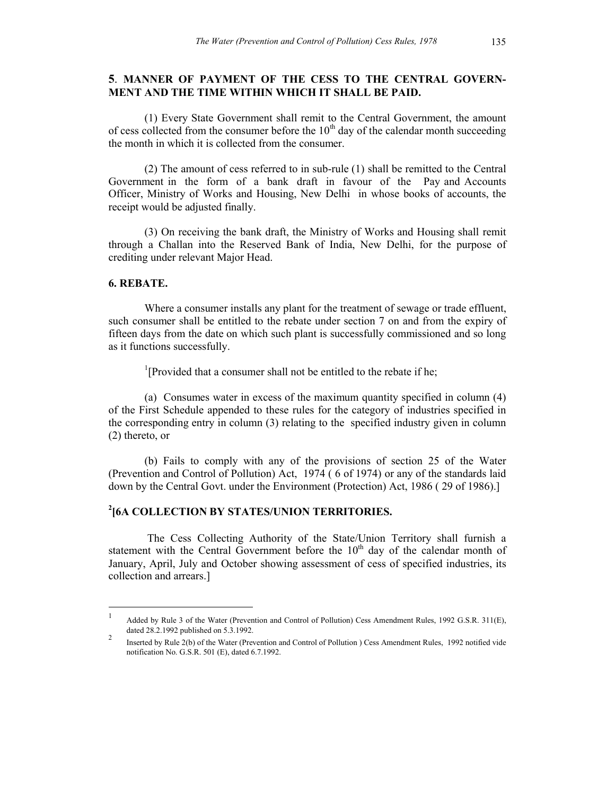### **5**. **MANNER OF PAYMENT OF THE CESS TO THE CENTRAL GOVERN-MENT AND THE TIME WITHIN WHICH IT SHALL BE PAID.**

(1) Every State Government shall remit to the Central Government, the amount of cess collected from the consumer before the  $10<sup>th</sup>$  day of the calendar month succeeding the month in which it is collected from the consumer.

(2) The amount of cess referred to in sub-rule (1) shall be remitted to the Central Government in the form of a bank draft in favour of the Pay and Accounts Officer, Ministry of Works and Housing, New Delhi in whose books of accounts, the receipt would be adjusted finally.

(3) On receiving the bank draft, the Ministry of Works and Housing shall remit through a Challan into the Reserved Bank of India, New Delhi, for the purpose of crediting under relevant Major Head.

#### **6. REBATE.**

 $\overline{a}$ 

Where a consumer installs any plant for the treatment of sewage or trade effluent, such consumer shall be entitled to the rebate under section 7 on and from the expiry of fifteen days from the date on which such plant is successfully commissioned and so long as it functions successfully.

<sup>1</sup>[Provided that a consumer shall not be entitled to the rebate if he;

(a) Consumes water in excess of the maximum quantity specified in column (4) of the First Schedule appended to these rules for the category of industries specified in the corresponding entry in column (3) relating to the specified industry given in column (2) thereto, or

(b) Fails to comply with any of the provisions of section 25 of the Water (Prevention and Control of Pollution) Act, 1974 ( 6 of 1974) or any of the standards laid down by the Central Govt. under the Environment (Protection) Act, 1986 ( 29 of 1986).]

## **2 [6A COLLECTION BY STATES/UNION TERRITORIES.**

The Cess Collecting Authority of the State/Union Territory shall furnish a statement with the Central Government before the  $10<sup>th</sup>$  day of the calendar month of January, April, July and October showing assessment of cess of specified industries, its collection and arrears.]

<sup>1</sup> Added by Rule 3 of the Water (Prevention and Control of Pollution) Cess Amendment Rules, 1992 G.S.R. 311(E), dated 28.2.1992 published on 5.3.1992.

<sup>&</sup>lt;sup>2</sup><br>Inserted by Rule 2(b) of the Water (Prevention and Control of Pollution ) Cess Amendment Rules, 1992 notified vide notification No. G.S.R. 501 (E), dated 6.7.1992.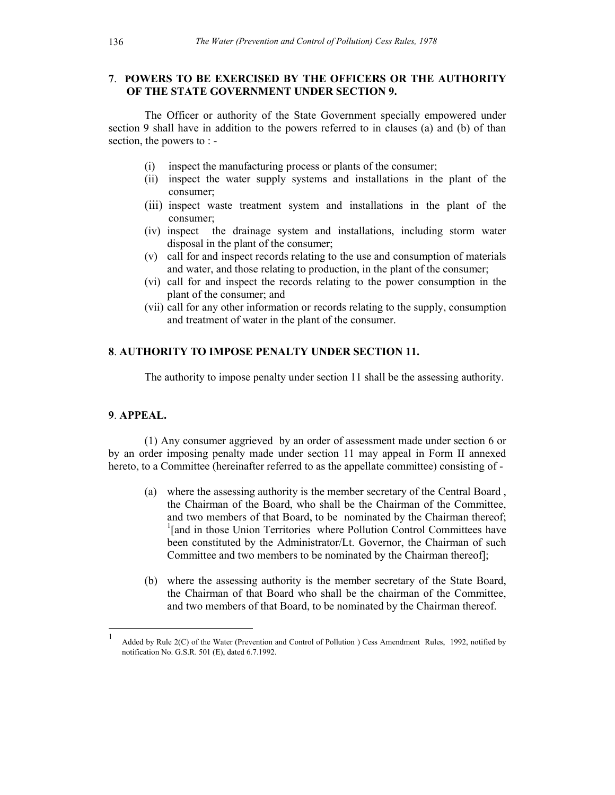### **7**. **POWERS TO BE EXERCISED BY THE OFFICERS OR THE AUTHORITY OF THE STATE GOVERNMENT UNDER SECTION 9.**

The Officer or authority of the State Government specially empowered under section 9 shall have in addition to the powers referred to in clauses (a) and (b) of than section, the powers to : -

- (i) inspect the manufacturing process or plants of the consumer;
- (ii) inspect the water supply systems and installations in the plant of the consumer;
- (iii) inspect waste treatment system and installations in the plant of the consumer;
- (iv) inspect the drainage system and installations, including storm water disposal in the plant of the consumer;
- (v) call for and inspect records relating to the use and consumption of materials and water, and those relating to production, in the plant of the consumer;
- (vi) call for and inspect the records relating to the power consumption in the plant of the consumer; and
- (vii) call for any other information or records relating to the supply, consumption and treatment of water in the plant of the consumer.

### **8**. **AUTHORITY TO IMPOSE PENALTY UNDER SECTION 11.**

The authority to impose penalty under section 11 shall be the assessing authority.

### **9**. **APPEAL.**

 $\overline{a}$ 

(1) Any consumer aggrieved by an order of assessment made under section 6 or by an order imposing penalty made under section 11 may appeal in Form II annexed hereto, to a Committee (hereinafter referred to as the appellate committee) consisting of -

- (a) where the assessing authority is the member secretary of the Central Board , the Chairman of the Board, who shall be the Chairman of the Committee, and two members of that Board, to be nominated by the Chairman thereof; <sup>1</sup>[and in those Union Territories where Pollution Control Committees have been constituted by the Administrator/Lt. Governor, the Chairman of such Committee and two members to be nominated by the Chairman thereof];
- (b) where the assessing authority is the member secretary of the State Board, the Chairman of that Board who shall be the chairman of the Committee, and two members of that Board, to be nominated by the Chairman thereof.

<sup>1</sup> Added by Rule 2(C) of the Water (Prevention and Control of Pollution ) Cess Amendment Rules, 1992, notified by notification No. G.S.R. 501 (E), dated 6.7.1992.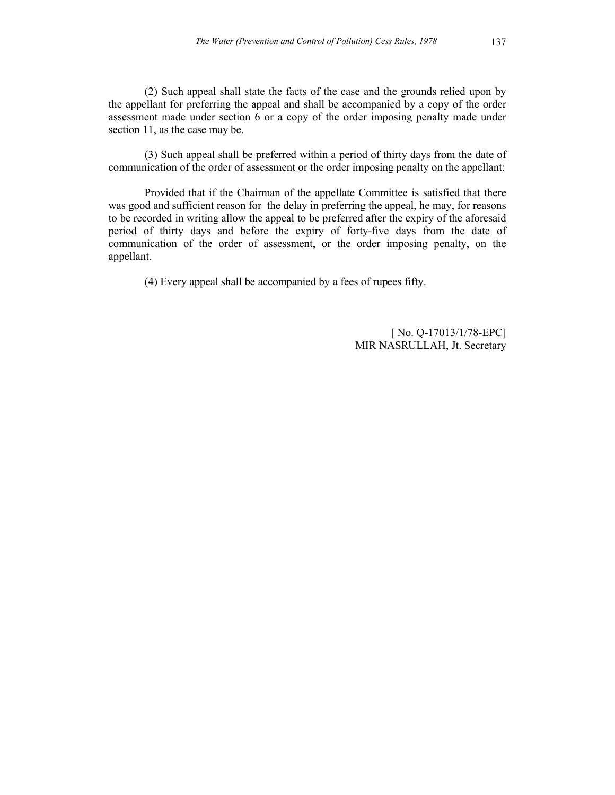(2) Such appeal shall state the facts of the case and the grounds relied upon by the appellant for preferring the appeal and shall be accompanied by a copy of the order assessment made under section 6 or a copy of the order imposing penalty made under section 11, as the case may be.

(3) Such appeal shall be preferred within a period of thirty days from the date of communication of the order of assessment or the order imposing penalty on the appellant:

Provided that if the Chairman of the appellate Committee is satisfied that there was good and sufficient reason for the delay in preferring the appeal, he may, for reasons to be recorded in writing allow the appeal to be preferred after the expiry of the aforesaid period of thirty days and before the expiry of forty-five days from the date of communication of the order of assessment, or the order imposing penalty, on the appellant.

(4) Every appeal shall be accompanied by a fees of rupees fifty.

[ No. Q-17013/1/78-EPC] MIR NASRULLAH, Jt. Secretary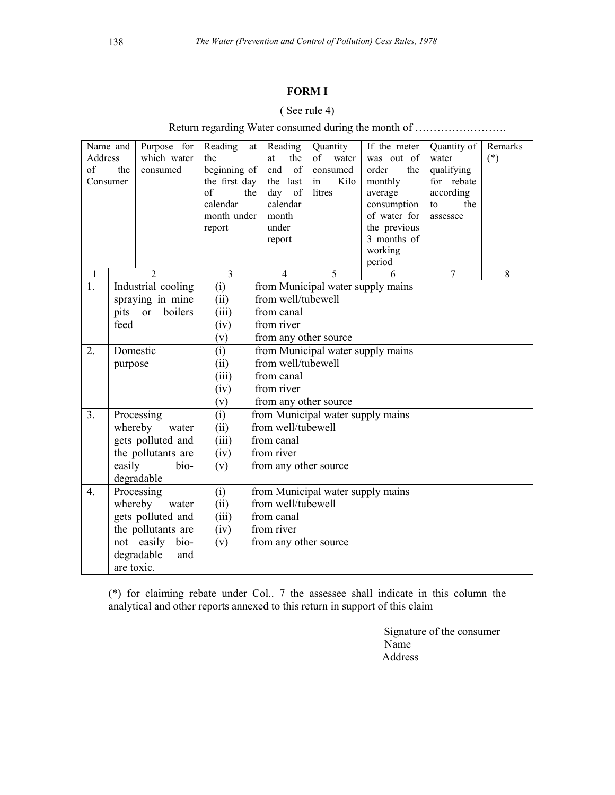## **FORM I**

## ( See rule 4)

|  |  |  |  | Return regarding Water consumed during the month of |  |  |  |
|--|--|--|--|-----------------------------------------------------|--|--|--|
|  |  |  |  |                                                     |  |  |  |

| Name and<br>Address<br>of<br>the<br>Consumer |                                | Purpose for<br>which water<br>consumed | Reading<br>at<br>the<br>beginning of<br>the first day<br>of<br>the<br>calendar<br>month under<br>report | Reading<br>the<br>at<br>of<br>end<br>the<br>last<br>of<br>day<br>calendar<br>month<br>under<br>report | Quantity<br>of<br>water<br>consumed<br>Kilo<br>in<br>litres | If the meter<br>was out of<br>order<br>the<br>monthly<br>average<br>consumption<br>of water for<br>the previous<br>3 months of<br>working | Quantity of<br>water<br>qualifying<br>for rebate<br>according<br>the<br>to<br>assessee | Remarks<br>$(*)$ |  |  |  |
|----------------------------------------------|--------------------------------|----------------------------------------|---------------------------------------------------------------------------------------------------------|-------------------------------------------------------------------------------------------------------|-------------------------------------------------------------|-------------------------------------------------------------------------------------------------------------------------------------------|----------------------------------------------------------------------------------------|------------------|--|--|--|
|                                              |                                |                                        |                                                                                                         |                                                                                                       |                                                             | period                                                                                                                                    |                                                                                        |                  |  |  |  |
| $\mathbf{1}$                                 |                                | $\overline{2}$                         | 3                                                                                                       | $\overline{4}$                                                                                        | 5                                                           | 6                                                                                                                                         | 7                                                                                      | 8                |  |  |  |
| 1.                                           |                                | Industrial cooling                     | (i)                                                                                                     |                                                                                                       | from Municipal water supply mains                           |                                                                                                                                           |                                                                                        |                  |  |  |  |
|                                              |                                | spraying in mine                       | (ii)                                                                                                    | from well/tubewell                                                                                    |                                                             |                                                                                                                                           |                                                                                        |                  |  |  |  |
|                                              | pits or<br>feed                | boilers                                |                                                                                                         | (iii)<br>from canal                                                                                   |                                                             |                                                                                                                                           |                                                                                        |                  |  |  |  |
|                                              |                                |                                        | from river<br>(iv)<br>(v)<br>from any other source                                                      |                                                                                                       |                                                             |                                                                                                                                           |                                                                                        |                  |  |  |  |
| 2.                                           | Domestic                       |                                        | (i)<br>from Municipal water supply mains                                                                |                                                                                                       |                                                             |                                                                                                                                           |                                                                                        |                  |  |  |  |
|                                              | purpose                        |                                        | from well/tubewell<br>(ii)                                                                              |                                                                                                       |                                                             |                                                                                                                                           |                                                                                        |                  |  |  |  |
|                                              |                                |                                        | (iii)                                                                                                   | from canal                                                                                            |                                                             |                                                                                                                                           |                                                                                        |                  |  |  |  |
|                                              |                                |                                        | (iv)                                                                                                    | from river                                                                                            |                                                             |                                                                                                                                           |                                                                                        |                  |  |  |  |
|                                              |                                |                                        | (v)                                                                                                     | from any other source                                                                                 |                                                             |                                                                                                                                           |                                                                                        |                  |  |  |  |
| 3.                                           | Processing                     |                                        | (i)                                                                                                     | from Municipal water supply mains                                                                     |                                                             |                                                                                                                                           |                                                                                        |                  |  |  |  |
|                                              | whereby<br>water               |                                        | (ii)                                                                                                    | from well/tubewell                                                                                    |                                                             |                                                                                                                                           |                                                                                        |                  |  |  |  |
|                                              | gets polluted and              |                                        | (iii)                                                                                                   | from canal                                                                                            |                                                             |                                                                                                                                           |                                                                                        |                  |  |  |  |
|                                              | the pollutants are             |                                        | (iv)                                                                                                    | from river                                                                                            |                                                             |                                                                                                                                           |                                                                                        |                  |  |  |  |
|                                              | easily<br>bio-<br>degradable   |                                        | (v)                                                                                                     | from any other source                                                                                 |                                                             |                                                                                                                                           |                                                                                        |                  |  |  |  |
| $\overline{4}$ .                             |                                |                                        |                                                                                                         |                                                                                                       |                                                             |                                                                                                                                           |                                                                                        |                  |  |  |  |
|                                              | Processing<br>whereby<br>water |                                        | (i)<br>(ii)                                                                                             | from Municipal water supply mains<br>from well/tubewell                                               |                                                             |                                                                                                                                           |                                                                                        |                  |  |  |  |
|                                              | gets polluted and              |                                        | (iii)                                                                                                   | from canal                                                                                            |                                                             |                                                                                                                                           |                                                                                        |                  |  |  |  |
|                                              | the pollutants are             |                                        | (iv)                                                                                                    | from river                                                                                            |                                                             |                                                                                                                                           |                                                                                        |                  |  |  |  |
|                                              | not easily<br>bio-             |                                        | (v)                                                                                                     | from any other source                                                                                 |                                                             |                                                                                                                                           |                                                                                        |                  |  |  |  |
|                                              | degradable<br>and              |                                        |                                                                                                         |                                                                                                       |                                                             |                                                                                                                                           |                                                                                        |                  |  |  |  |
|                                              | are toxic.                     |                                        |                                                                                                         |                                                                                                       |                                                             |                                                                                                                                           |                                                                                        |                  |  |  |  |

(\*) for claiming rebate under Col.. 7 the assessee shall indicate in this column the analytical and other reports annexed to this return in support of this claim

> Signature of the consumer Name Address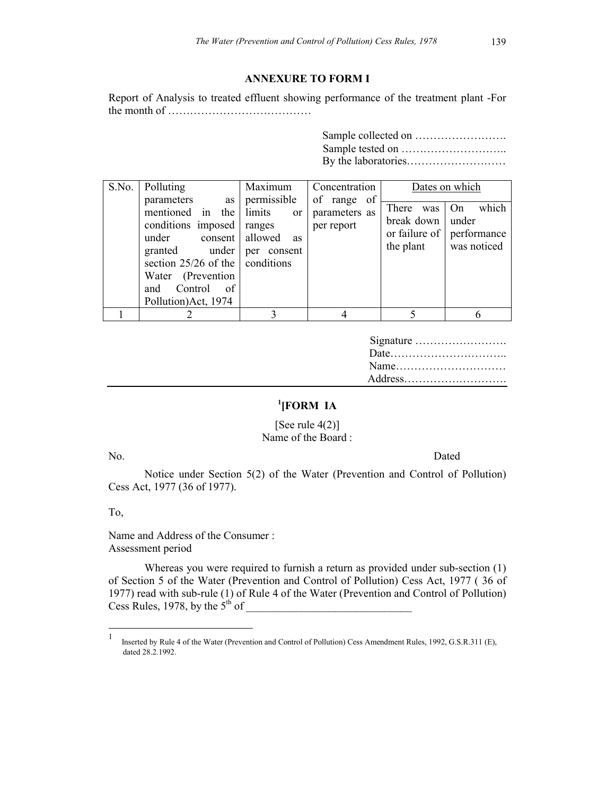### **ANNEXURE TO FORM I**

Report of Analysis to treated effluent showing performance of the treatment plant -For the month of …………………………………

> Sample collected on ……………………. Sample tested on ……………………….. By the laboratories………………………

| S.No. | Polluting<br>parameters<br>as  <br>mentioned in the limits<br>conditions imposed   ranges<br>under<br>under<br>granted<br>section $25/26$ of the conditions<br>Water (Prevention<br>Control<br>and<br>of<br>Pollution) Act, 1974 | Maximum<br>permissible<br><sub>or</sub><br>consent allowed<br><b>as</b><br>consent<br>per | Concentration<br>of range of<br>parameters as<br>per report | There<br>was<br>break down<br>or failure of $\vert$<br>the plant | Dates on which<br>which<br>On<br>under<br>performance<br>was noticed |
|-------|----------------------------------------------------------------------------------------------------------------------------------------------------------------------------------------------------------------------------------|-------------------------------------------------------------------------------------------|-------------------------------------------------------------|------------------------------------------------------------------|----------------------------------------------------------------------|
|       |                                                                                                                                                                                                                                  |                                                                                           |                                                             |                                                                  |                                                                      |

| Address |
|---------|

## **1 [FORM IA**

### [See rule  $4(2)$ ] Name of the Board :

No. Dated

Notice under Section 5(2) of the Water (Prevention and Control of Pollution) Cess Act, 1977 (36 of 1977).

To,

 $\overline{a}$ 

Name and Address of the Consumer : Assessment period

Whereas you were required to furnish a return as provided under sub-section (1) of Section 5 of the Water (Prevention and Control of Pollution) Cess Act, 1977 ( 36 of 1977) read with sub-rule (1) of Rule 4 of the Water (Prevention and Control of Pollution) Cess Rules, 1978, by the  $5<sup>th</sup>$  of

<sup>1</sup> Inserted by Rule 4 of the Water (Prevention and Control of Pollution) Cess Amendment Rules, 1992, G.S.R.311 (E), dated 28.2.1992.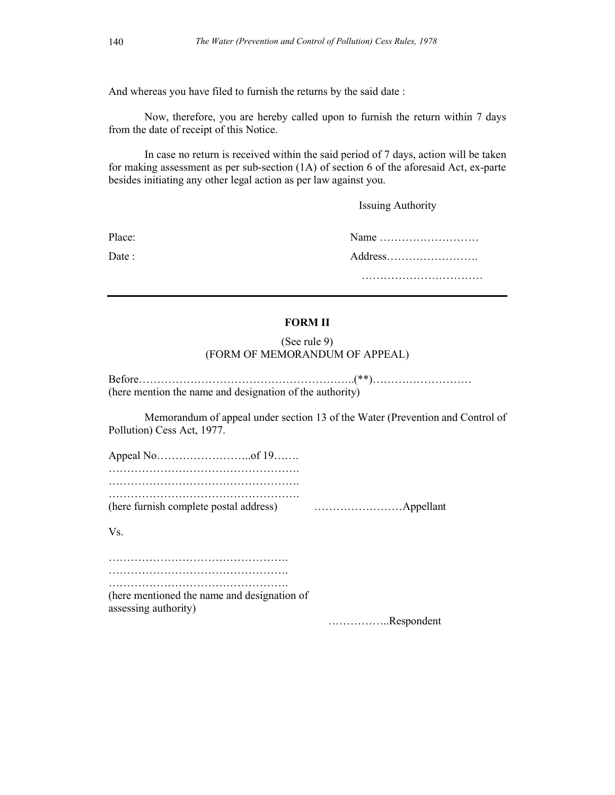And whereas you have filed to furnish the returns by the said date :

Now, therefore, you are hereby called upon to furnish the return within 7 days from the date of receipt of this Notice.

In case no return is received within the said period of 7 days, action will be taken for making assessment as per sub-section (1A) of section 6 of the aforesaid Act, ex-parte besides initiating any other legal action as per law against you.

Issuing Authority

Place: Name ……………………… Date : Address……………………. …………………………………………

# **FORM II** (See rule 9)

(FORM OF MEMORANDUM OF APPEAL)

| (here mention the name and designation of the authority) |  |
|----------------------------------------------------------|--|

Memorandum of appeal under section 13 of the Water (Prevention and Control of Pollution) Cess Act, 1977.

Appeal No……………………..of 19……. ……………………………………………. ……………………………………………. …………………………………………….

(here furnish complete postal address) ……………………Appellant

Vs.

…………………………………………. …………………………………………. …………………………………………. (here mentioned the name and designation of

assessing authority)

……………..Respondent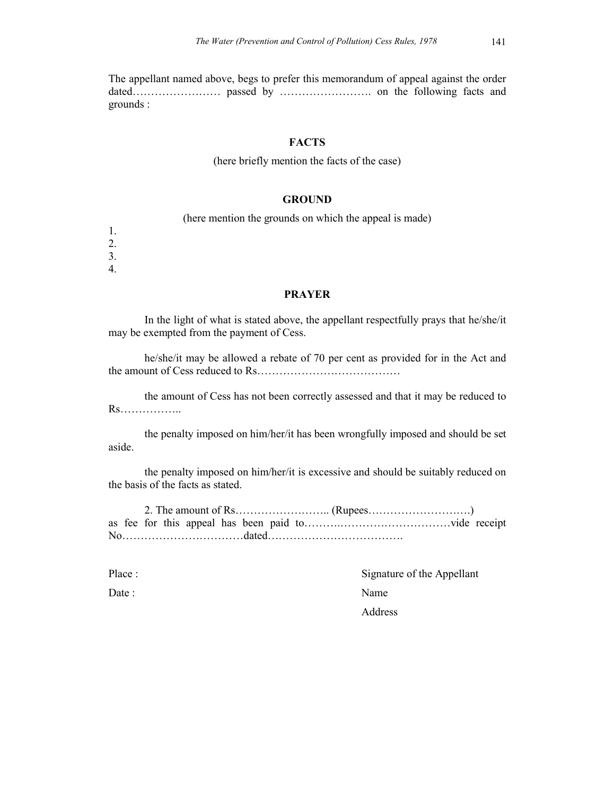The appellant named above, begs to prefer this memorandum of appeal against the order dated…………………… passed by ……………………. on the following facts and grounds :

### **FACTS**

#### (here briefly mention the facts of the case)

### **GROUND**

(here mention the grounds on which the appeal is made)

- 1. 2.
- 3.
- 4.

### **PRAYER**

In the light of what is stated above, the appellant respectfully prays that he/she/it may be exempted from the payment of Cess.

he/she/it may be allowed a rebate of 70 per cent as provided for in the Act and the amount of Cess reduced to Rs…………………………………

the amount of Cess has not been correctly assessed and that it may be reduced to Rs……………..

the penalty imposed on him/her/it has been wrongfully imposed and should be set aside.

the penalty imposed on him/her/it is excessive and should be suitably reduced on the basis of the facts as stated.

2. The amount of Rs…………………….. (Rupees……………………….) as fee for this appeal has been paid to……….…………………………vide receipt No……………………………dated……………………………….

Place : Signature of the Appellant Date : Name Address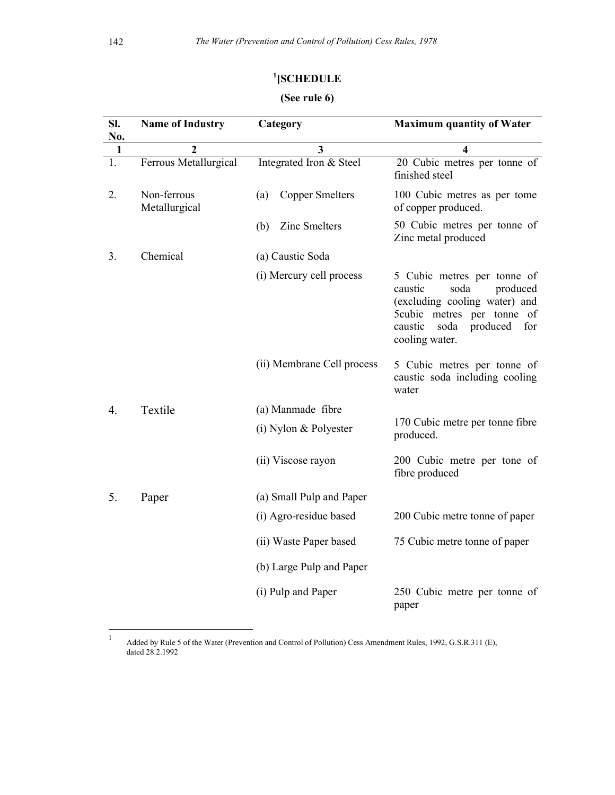## **1 [SCHEDULE**

# **(See rule 6)**

| SI.<br>No. | <b>Name of Industry</b>      | Category                      | <b>Maximum quantity of Water</b>                                                                                                                                                  |  |  |  |
|------------|------------------------------|-------------------------------|-----------------------------------------------------------------------------------------------------------------------------------------------------------------------------------|--|--|--|
| 1          | 2                            | 3                             | 4                                                                                                                                                                                 |  |  |  |
| 1.         | Ferrous Metallurgical        | Integrated Iron & Steel       | 20 Cubic metres per tonne of<br>finished steel                                                                                                                                    |  |  |  |
| 2.         | Non-ferrous<br>Metallurgical | <b>Copper Smelters</b><br>(a) | 100 Cubic metres as per tome<br>of copper produced.                                                                                                                               |  |  |  |
|            |                              | Zinc Smelters<br>(b)          | 50 Cubic metres per tonne of<br>Zinc metal produced                                                                                                                               |  |  |  |
| 3.         | Chemical                     | (a) Caustic Soda              |                                                                                                                                                                                   |  |  |  |
|            |                              | (i) Mercury cell process      | 5 Cubic metres per tonne of<br>caustic<br>soda<br>produced<br>(excluding cooling water) and<br>5cubic metres per tonne of<br>caustic<br>soda<br>produced<br>for<br>cooling water. |  |  |  |
|            |                              | (ii) Membrane Cell process    | 5 Cubic metres per tonne of<br>caustic soda including cooling<br>water                                                                                                            |  |  |  |
| 4.         | Textile                      | (a) Manmade fibre             |                                                                                                                                                                                   |  |  |  |
|            |                              | $(i)$ Nylon & Polyester       | 170 Cubic metre per tonne fibre<br>produced.                                                                                                                                      |  |  |  |
|            |                              | (ii) Viscose rayon            | 200 Cubic metre per tone of<br>fibre produced                                                                                                                                     |  |  |  |
| 5.         | Paper                        | (a) Small Pulp and Paper      |                                                                                                                                                                                   |  |  |  |
|            |                              | (i) Agro-residue based        | 200 Cubic metre tonne of paper                                                                                                                                                    |  |  |  |
|            |                              | (ii) Waste Paper based        | 75 Cubic metre tonne of paper                                                                                                                                                     |  |  |  |
|            |                              | (b) Large Pulp and Paper      |                                                                                                                                                                                   |  |  |  |
|            |                              | (i) Pulp and Paper            | 250 Cubic metre per tonne of<br>paper                                                                                                                                             |  |  |  |

 $\bar{1}$ <sup>1</sup> Added by Rule 5 of the Water (Prevention and Control of Pollution) Cess Amendment Rules, 1992, G.S.R.311 (E), dated 28.2.1992